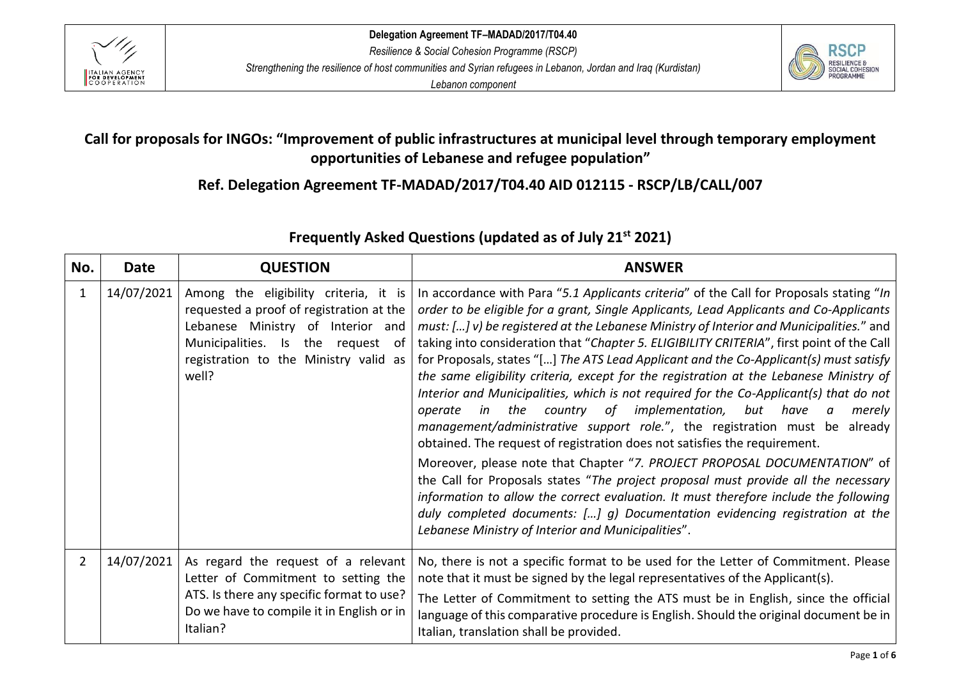



# **Call for proposals for INGOs: "Improvement of public infrastructures at municipal level through temporary employment opportunities of Lebanese and refugee population"**

**Ref. Delegation Agreement TF-MADAD/2017/T04.40 AID 012115 - RSCP/LB/CALL/007**

| No.            | <b>Date</b> | <b>QUESTION</b>                                                                                                                                                                                                     | <b>ANSWER</b>                                                                                                                                                                                                                                                                                                                                                                                                                                                                                                                                                                                                                                                                                                                                                                                                                                                                                                                                                                                                                                                                                                                                                                                                                                                                                        |
|----------------|-------------|---------------------------------------------------------------------------------------------------------------------------------------------------------------------------------------------------------------------|------------------------------------------------------------------------------------------------------------------------------------------------------------------------------------------------------------------------------------------------------------------------------------------------------------------------------------------------------------------------------------------------------------------------------------------------------------------------------------------------------------------------------------------------------------------------------------------------------------------------------------------------------------------------------------------------------------------------------------------------------------------------------------------------------------------------------------------------------------------------------------------------------------------------------------------------------------------------------------------------------------------------------------------------------------------------------------------------------------------------------------------------------------------------------------------------------------------------------------------------------------------------------------------------------|
| 1              | 14/07/2021  | Among the eligibility criteria, it is<br>requested a proof of registration at the<br>Lebanese Ministry of Interior and<br>Municipalities. Is<br>the request<br>of<br>registration to the Ministry valid as<br>well? | In accordance with Para "5.1 Applicants criteria" of the Call for Proposals stating "In<br>order to be eligible for a grant, Single Applicants, Lead Applicants and Co-Applicants<br>must: [] v) be registered at the Lebanese Ministry of Interior and Municipalities." and<br>taking into consideration that "Chapter 5. ELIGIBILITY CRITERIA", first point of the Call<br>for Proposals, states "[] The ATS Lead Applicant and the Co-Applicant(s) must satisfy<br>the same eligibility criteria, except for the registration at the Lebanese Ministry of<br>Interior and Municipalities, which is not required for the Co-Applicant(s) that do not<br>in the country of implementation,<br>but have<br>operate<br>merely<br>$\alpha$<br>management/administrative support role.", the registration must be already<br>obtained. The request of registration does not satisfies the requirement.<br>Moreover, please note that Chapter "7. PROJECT PROPOSAL DOCUMENTATION" of<br>the Call for Proposals states "The project proposal must provide all the necessary<br>information to allow the correct evaluation. It must therefore include the following<br>duly completed documents: [] g) Documentation evidencing registration at the<br>Lebanese Ministry of Interior and Municipalities". |
| $\overline{2}$ | 14/07/2021  | As regard the request of a relevant<br>Letter of Commitment to setting the<br>ATS. Is there any specific format to use?<br>Do we have to compile it in English or in<br>Italian?                                    | No, there is not a specific format to be used for the Letter of Commitment. Please<br>note that it must be signed by the legal representatives of the Applicant(s).<br>The Letter of Commitment to setting the ATS must be in English, since the official<br>language of this comparative procedure is English. Should the original document be in<br>Italian, translation shall be provided.                                                                                                                                                                                                                                                                                                                                                                                                                                                                                                                                                                                                                                                                                                                                                                                                                                                                                                        |

# **Frequently Asked Questions (updated as of July 21 st 2021)**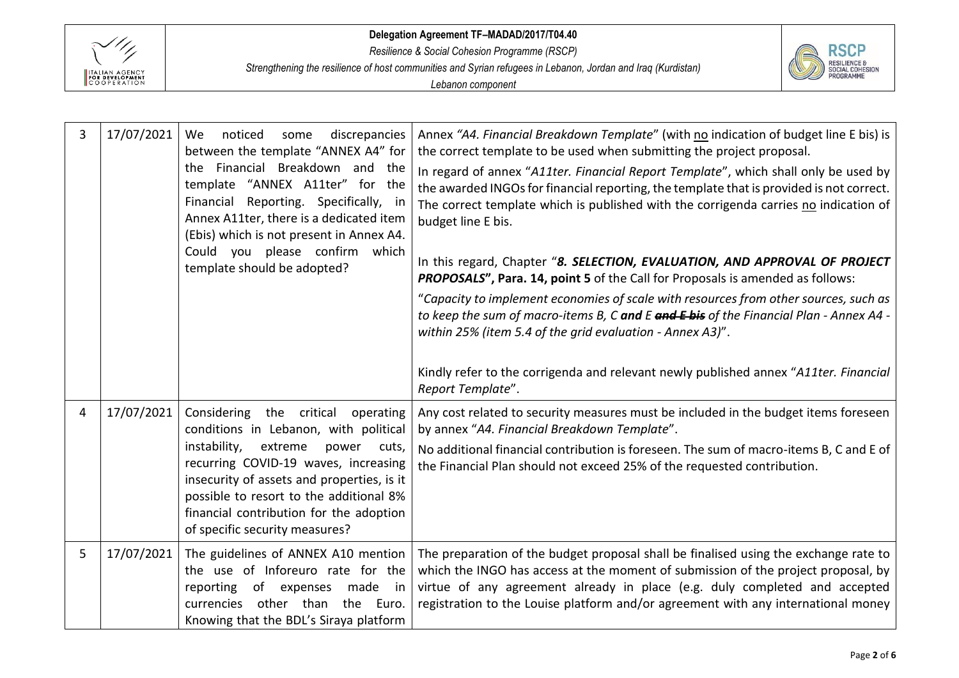

*Resilience & Social Cohesion Programme (RSCP)*

*Strengthening the resilience of host communities and Syrian refugees in Lebanon, Jordan and Iraq (Kurdistan)*



| 3 | 17/07/2021 | noticed<br>discrepancies<br><b>We</b><br>some<br>between the template "ANNEX A4" for<br>Financial Breakdown and the<br>the.<br>template "ANNEX A11ter" for the<br>Financial Reporting. Specifically, in<br>Annex A11ter, there is a dedicated item<br>(Ebis) which is not present in Annex A4.<br>Could you please confirm which<br>template should be adopted? | Annex "A4. Financial Breakdown Template" (with no indication of budget line E bis) is<br>the correct template to be used when submitting the project proposal.<br>In regard of annex "A11ter. Financial Report Template", which shall only be used by<br>the awarded INGOs for financial reporting, the template that is provided is not correct.<br>The correct template which is published with the corrigenda carries no indication of<br>budget line E bis.<br>In this regard, Chapter "8. SELECTION, EVALUATION, AND APPROVAL OF PROJECT<br>PROPOSALS", Para. 14, point 5 of the Call for Proposals is amended as follows:<br>"Capacity to implement economies of scale with resources from other sources, such as<br>to keep the sum of macro-items B, C and E and E bis of the Financial Plan - Annex A4 -<br>within 25% (item 5.4 of the grid evaluation - Annex A3)".<br>Kindly refer to the corrigenda and relevant newly published annex "A11ter. Financial<br>Report Template". |
|---|------------|-----------------------------------------------------------------------------------------------------------------------------------------------------------------------------------------------------------------------------------------------------------------------------------------------------------------------------------------------------------------|---------------------------------------------------------------------------------------------------------------------------------------------------------------------------------------------------------------------------------------------------------------------------------------------------------------------------------------------------------------------------------------------------------------------------------------------------------------------------------------------------------------------------------------------------------------------------------------------------------------------------------------------------------------------------------------------------------------------------------------------------------------------------------------------------------------------------------------------------------------------------------------------------------------------------------------------------------------------------------------------|
| 4 | 17/07/2021 | Considering the critical operating<br>conditions in Lebanon, with political<br>instability,<br>extreme<br>power cuts,<br>recurring COVID-19 waves, increasing<br>insecurity of assets and properties, is it<br>possible to resort to the additional 8%<br>financial contribution for the adoption<br>of specific security measures?                             | Any cost related to security measures must be included in the budget items foreseen<br>by annex "A4. Financial Breakdown Template".<br>No additional financial contribution is foreseen. The sum of macro-items B, C and E of<br>the Financial Plan should not exceed 25% of the requested contribution.                                                                                                                                                                                                                                                                                                                                                                                                                                                                                                                                                                                                                                                                                    |
| 5 | 17/07/2021 | The guidelines of ANNEX A10 mention<br>the use of Inforeuro rate for the<br>made in<br>reporting<br>of expenses<br>other than<br>the Euro.<br>currencies<br>Knowing that the BDL's Siraya platform                                                                                                                                                              | The preparation of the budget proposal shall be finalised using the exchange rate to<br>which the INGO has access at the moment of submission of the project proposal, by<br>virtue of any agreement already in place (e.g. duly completed and accepted<br>registration to the Louise platform and/or agreement with any international money                                                                                                                                                                                                                                                                                                                                                                                                                                                                                                                                                                                                                                                |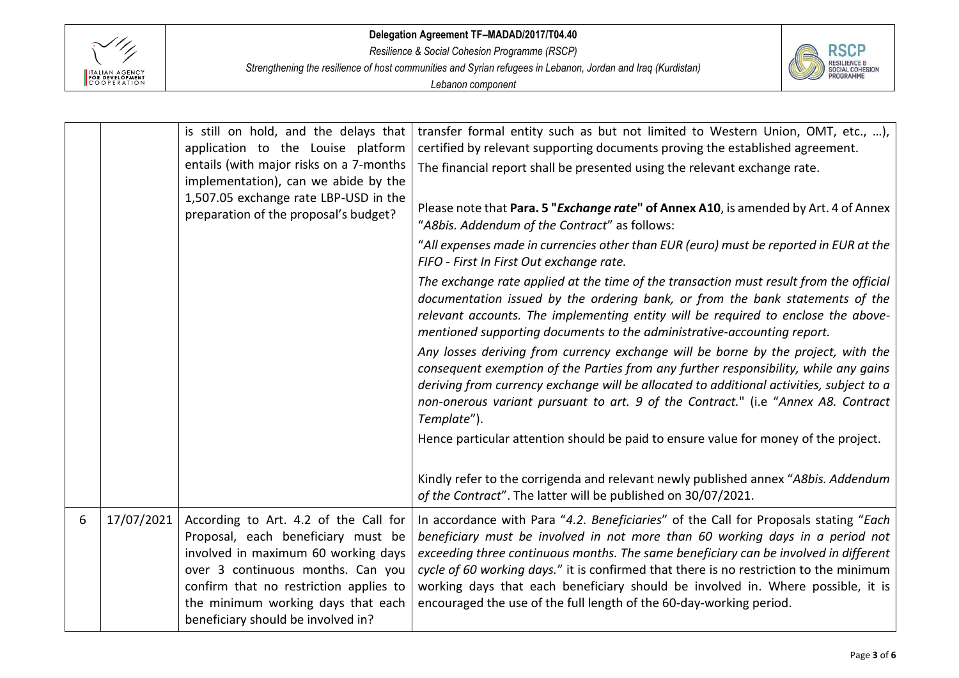

*Resilience & Social Cohesion Programme (RSCP)*

*Strengthening the resilience of host communities and Syrian refugees in Lebanon, Jordan and Iraq (Kurdistan)*



|   |            | is still on hold, and the delays that<br>application to the Louise platform                                                                                                                                                                                                   | transfer formal entity such as but not limited to Western Union, OMT, etc., ),<br>certified by relevant supporting documents proving the established agreement.                                                                                                                                                                                                                                                                                                                                                   |
|---|------------|-------------------------------------------------------------------------------------------------------------------------------------------------------------------------------------------------------------------------------------------------------------------------------|-------------------------------------------------------------------------------------------------------------------------------------------------------------------------------------------------------------------------------------------------------------------------------------------------------------------------------------------------------------------------------------------------------------------------------------------------------------------------------------------------------------------|
|   |            | entails (with major risks on a 7-months<br>implementation), can we abide by the                                                                                                                                                                                               | The financial report shall be presented using the relevant exchange rate.                                                                                                                                                                                                                                                                                                                                                                                                                                         |
|   |            | 1,507.05 exchange rate LBP-USD in the<br>preparation of the proposal's budget?                                                                                                                                                                                                | Please note that Para. 5 " <i>Exchange rate</i> " of Annex A10, is amended by Art. 4 of Annex<br>"A8bis. Addendum of the Contract" as follows:                                                                                                                                                                                                                                                                                                                                                                    |
|   |            |                                                                                                                                                                                                                                                                               | "All expenses made in currencies other than EUR (euro) must be reported in EUR at the<br>FIFO - First In First Out exchange rate.                                                                                                                                                                                                                                                                                                                                                                                 |
|   |            |                                                                                                                                                                                                                                                                               | The exchange rate applied at the time of the transaction must result from the official<br>documentation issued by the ordering bank, or from the bank statements of the<br>relevant accounts. The implementing entity will be required to enclose the above-<br>mentioned supporting documents to the administrative-accounting report.                                                                                                                                                                           |
|   |            |                                                                                                                                                                                                                                                                               | Any losses deriving from currency exchange will be borne by the project, with the<br>consequent exemption of the Parties from any further responsibility, while any gains<br>deriving from currency exchange will be allocated to additional activities, subject to a<br>non-onerous variant pursuant to art. 9 of the Contract." (i.e "Annex A8. Contract<br>Template").                                                                                                                                         |
|   |            |                                                                                                                                                                                                                                                                               | Hence particular attention should be paid to ensure value for money of the project.                                                                                                                                                                                                                                                                                                                                                                                                                               |
|   |            |                                                                                                                                                                                                                                                                               | Kindly refer to the corrigenda and relevant newly published annex "A8bis. Addendum<br>of the Contract". The latter will be published on 30/07/2021.                                                                                                                                                                                                                                                                                                                                                               |
| 6 | 17/07/2021 | According to Art. 4.2 of the Call for<br>Proposal, each beneficiary must be<br>involved in maximum 60 working days<br>over 3 continuous months. Can you<br>confirm that no restriction applies to<br>the minimum working days that each<br>beneficiary should be involved in? | In accordance with Para "4.2. Beneficiaries" of the Call for Proposals stating "Each<br>beneficiary must be involved in not more than 60 working days in a period not<br>exceeding three continuous months. The same beneficiary can be involved in different<br>cycle of 60 working days." it is confirmed that there is no restriction to the minimum<br>working days that each beneficiary should be involved in. Where possible, it is<br>encouraged the use of the full length of the 60-day-working period. |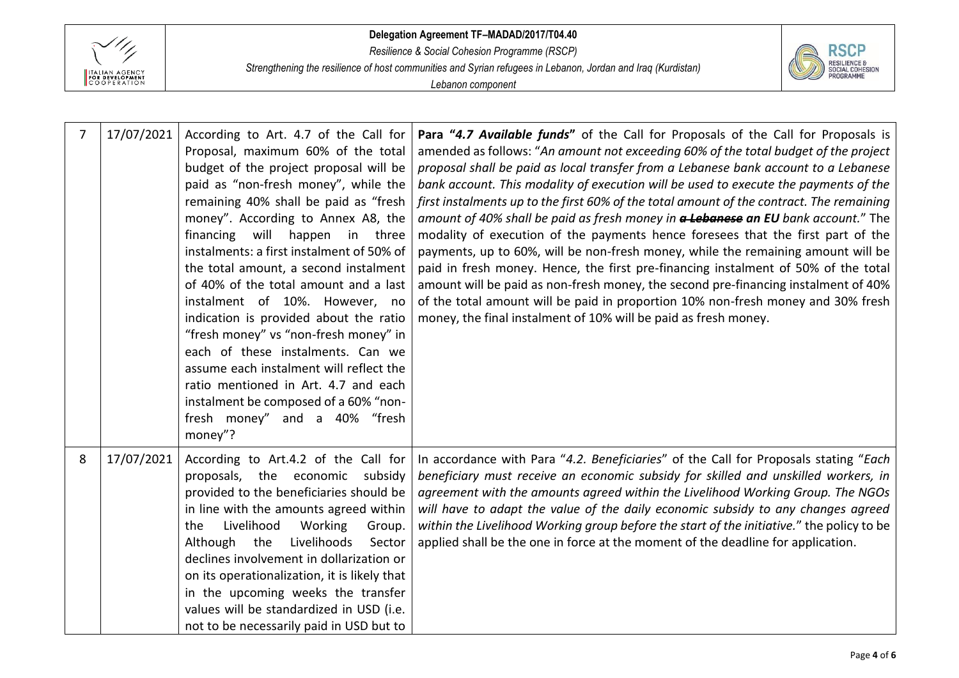

*Resilience & Social Cohesion Programme (RSCP)*

*Strengthening the resilience of host communities and Syrian refugees in Lebanon, Jordan and Iraq (Kurdistan)*



| $\overline{7}$ | 17/07/2021 | According to Art. 4.7 of the Call for<br>Proposal, maximum 60% of the total<br>budget of the project proposal will be<br>paid as "non-fresh money", while the<br>remaining 40% shall be paid as "fresh<br>money". According to Annex A8, the<br>will<br>financing<br>happen in three<br>instalments: a first instalment of 50% of<br>the total amount, a second instalment<br>of 40% of the total amount and a last<br>instalment of 10%. However, no<br>indication is provided about the ratio<br>"fresh money" vs "non-fresh money" in<br>each of these instalments. Can we<br>assume each instalment will reflect the<br>ratio mentioned in Art. 4.7 and each<br>instalment be composed of a 60% "non-<br>fresh money" and a 40% "fresh<br>money"? | Para "4.7 Available funds" of the Call for Proposals of the Call for Proposals is<br>amended as follows: "An amount not exceeding 60% of the total budget of the project<br>proposal shall be paid as local transfer from a Lebanese bank account to a Lebanese<br>bank account. This modality of execution will be used to execute the payments of the<br>first instalments up to the first 60% of the total amount of the contract. The remaining<br>amount of 40% shall be paid as fresh money in a Lebanese an EU bank account." The<br>modality of execution of the payments hence foresees that the first part of the<br>payments, up to 60%, will be non-fresh money, while the remaining amount will be<br>paid in fresh money. Hence, the first pre-financing instalment of 50% of the total<br>amount will be paid as non-fresh money, the second pre-financing instalment of 40%<br>of the total amount will be paid in proportion 10% non-fresh money and 30% fresh<br>money, the final instalment of 10% will be paid as fresh money. |
|----------------|------------|-------------------------------------------------------------------------------------------------------------------------------------------------------------------------------------------------------------------------------------------------------------------------------------------------------------------------------------------------------------------------------------------------------------------------------------------------------------------------------------------------------------------------------------------------------------------------------------------------------------------------------------------------------------------------------------------------------------------------------------------------------|----------------------------------------------------------------------------------------------------------------------------------------------------------------------------------------------------------------------------------------------------------------------------------------------------------------------------------------------------------------------------------------------------------------------------------------------------------------------------------------------------------------------------------------------------------------------------------------------------------------------------------------------------------------------------------------------------------------------------------------------------------------------------------------------------------------------------------------------------------------------------------------------------------------------------------------------------------------------------------------------------------------------------------------------------|
| 8              | 17/07/2021 | According to Art.4.2 of the Call for<br>proposals, the economic<br>subsidy<br>provided to the beneficiaries should be<br>in line with the amounts agreed within<br>Livelihood<br>Working<br>the<br>Group.<br>Although<br>the<br>Livelihoods<br>Sector<br>declines involvement in dollarization or<br>on its operationalization, it is likely that<br>in the upcoming weeks the transfer<br>values will be standardized in USD (i.e.<br>not to be necessarily paid in USD but to                                                                                                                                                                                                                                                                       | In accordance with Para "4.2. Beneficiaries" of the Call for Proposals stating "Each<br>beneficiary must receive an economic subsidy for skilled and unskilled workers, in<br>agreement with the amounts agreed within the Livelihood Working Group. The NGOs<br>will have to adapt the value of the daily economic subsidy to any changes agreed<br>within the Livelihood Working group before the start of the initiative." the policy to be<br>applied shall be the one in force at the moment of the deadline for application.                                                                                                                                                                                                                                                                                                                                                                                                                                                                                                                 |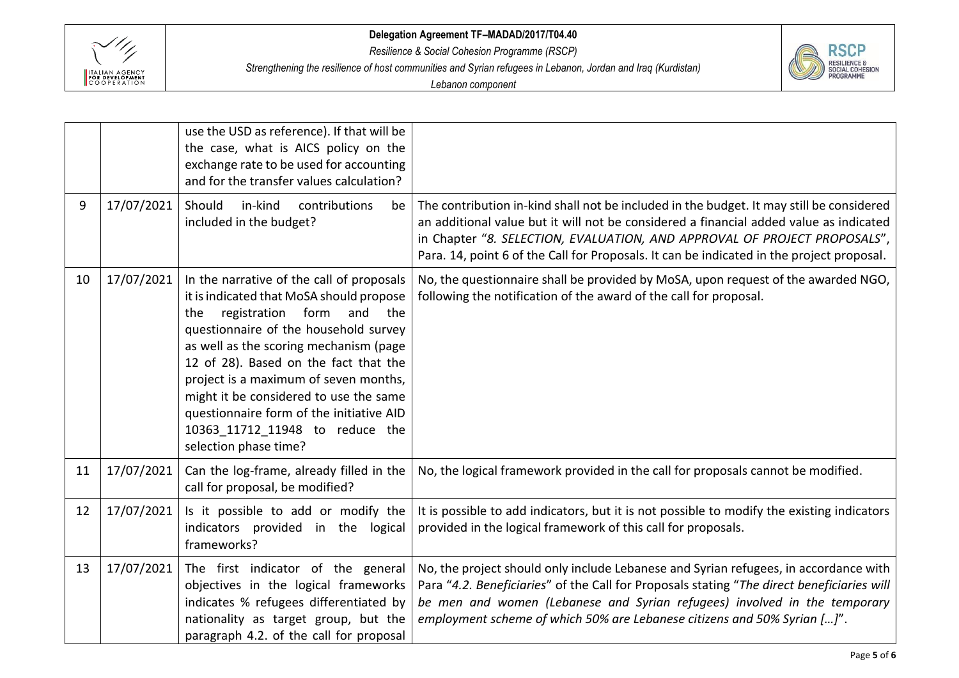

*Resilience & Social Cohesion Programme (RSCP)*

*Strengthening the resilience of host communities and Syrian refugees in Lebanon, Jordan and Iraq (Kurdistan)*

| <b>RESILIENCE &amp;</b><br><b>SOCIAL COHESION</b><br>PROGRAMME |
|----------------------------------------------------------------|
|----------------------------------------------------------------|

|    |            | use the USD as reference). If that will be<br>the case, what is AICS policy on the<br>exchange rate to be used for accounting<br>and for the transfer values calculation?                                                                                                                                                                                                                                                                        |                                                                                                                                                                                                                                                                                                                                                              |
|----|------------|--------------------------------------------------------------------------------------------------------------------------------------------------------------------------------------------------------------------------------------------------------------------------------------------------------------------------------------------------------------------------------------------------------------------------------------------------|--------------------------------------------------------------------------------------------------------------------------------------------------------------------------------------------------------------------------------------------------------------------------------------------------------------------------------------------------------------|
| 9  | 17/07/2021 | Should<br>in-kind<br>contributions<br>be<br>included in the budget?                                                                                                                                                                                                                                                                                                                                                                              | The contribution in-kind shall not be included in the budget. It may still be considered<br>an additional value but it will not be considered a financial added value as indicated<br>in Chapter "8. SELECTION, EVALUATION, AND APPROVAL OF PROJECT PROPOSALS",<br>Para. 14, point 6 of the Call for Proposals. It can be indicated in the project proposal. |
| 10 | 17/07/2021 | In the narrative of the call of proposals<br>it is indicated that MoSA should propose<br>registration form and the<br>the<br>questionnaire of the household survey<br>as well as the scoring mechanism (page<br>12 of 28). Based on the fact that the<br>project is a maximum of seven months,<br>might it be considered to use the same<br>questionnaire form of the initiative AID<br>10363 11712 11948 to reduce the<br>selection phase time? | No, the questionnaire shall be provided by MoSA, upon request of the awarded NGO,<br>following the notification of the award of the call for proposal.                                                                                                                                                                                                       |
| 11 | 17/07/2021 | Can the log-frame, already filled in the<br>call for proposal, be modified?                                                                                                                                                                                                                                                                                                                                                                      | No, the logical framework provided in the call for proposals cannot be modified.                                                                                                                                                                                                                                                                             |
| 12 | 17/07/2021 | Is it possible to add or modify the<br>indicators provided in the logical<br>frameworks?                                                                                                                                                                                                                                                                                                                                                         | It is possible to add indicators, but it is not possible to modify the existing indicators<br>provided in the logical framework of this call for proposals.                                                                                                                                                                                                  |
| 13 | 17/07/2021 | The first indicator of the general<br>objectives in the logical frameworks<br>indicates % refugees differentiated by<br>nationality as target group, but the<br>paragraph 4.2. of the call for proposal                                                                                                                                                                                                                                          | No, the project should only include Lebanese and Syrian refugees, in accordance with<br>Para "4.2. Beneficiaries" of the Call for Proposals stating "The direct beneficiaries will<br>be men and women (Lebanese and Syrian refugees) involved in the temporary<br>employment scheme of which 50% are Lebanese citizens and 50% Syrian []".                  |